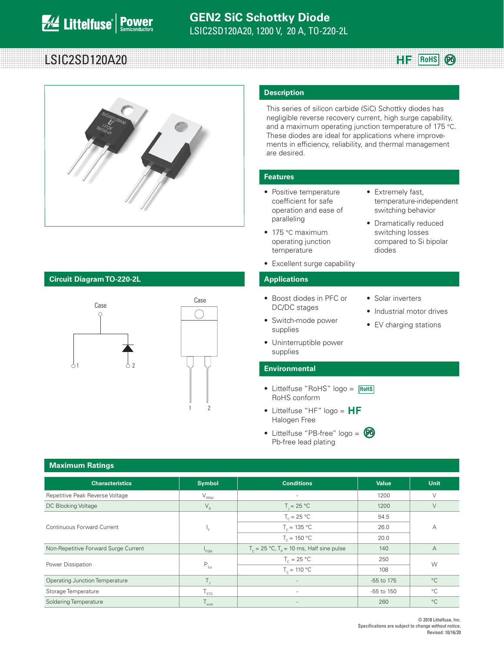# LSIC2SD120A20 **Reduce 20 Roms**



### **Circuit Diagram TO-220-2L Applications**



### **Description**

This series of silicon carbide (SiC) Schottky diodes has negligible reverse recovery current, high surge capability, and a maximum operating junction temperature of 175 °C. These diodes are ideal for applications where improvements in efficiency, reliability, and thermal management are desired.

• Extremely fast,

diodes

• Solar inverters

• Industrial motor drives • EV charging stations

temperature-independent switching behavior • Dramatically reduced switching losses compared to Si bipolar

**Pb**

### **Features**

- Positive temperature coefficient for safe operation and ease of paralleling
- 175 °C maximum operating junction temperature
- Excellent surge capability

- Boost diodes in PFC or DC/DC stages
- Switch-mode power supplies
- Uninterruptible power supplies

### **Environmental**

- Littelfuse "RoHS" logo = **RoHS** RoHS conform
- Littelfuse "HF" logo =  $HF$ Halogen Free
- Littelfuse "PB-free" logo = **Pb**Pb-free lead plating

| <b>Maximum Ratings</b>                |                   |                                                |              |                |  |  |  |  |
|---------------------------------------|-------------------|------------------------------------------------|--------------|----------------|--|--|--|--|
| <b>Characteristics</b>                | <b>Symbol</b>     | <b>Conditions</b>                              | <b>Value</b> | Unit           |  |  |  |  |
| Repetitive Peak Reverse Voltage       | $V_{\rm RRM}$     | ٠                                              | 1200         | $\vee$         |  |  |  |  |
| DC Blocking Voltage                   | $V_R$             | $T = 25 °C$                                    | 1200         | V              |  |  |  |  |
|                                       |                   | $T_c = 25 °C$                                  | 54.5         |                |  |  |  |  |
| Continuous Forward Current            | ۰,                | $T_c = 135 °C$                                 | 26.0         | А              |  |  |  |  |
|                                       |                   | $T_c = 150 °C$                                 | 20.0         |                |  |  |  |  |
| Non-Repetitive Forward Surge Current  | $I_{FSM}$         | $T_c = 25 °C$ , $T_p = 10$ ms, Half sine pulse | 140          | $\overline{A}$ |  |  |  |  |
| Power Dissipation                     |                   | $T_c = 25 °C$                                  | 250          | W              |  |  |  |  |
|                                       | $P_{\text{Tot}}$  | $T_c = 110 °C$                                 | 108          |                |  |  |  |  |
| <b>Operating Junction Temperature</b> | Τ,                |                                                | -55 to 175   | $^{\circ}C$    |  |  |  |  |
| Storage Temperature                   | $T_{\rm STG}$     | ٠                                              | -55 to 150   | $^{\circ}C$    |  |  |  |  |
| Soldering Temperature                 | $T_{\text{gold}}$ |                                                | 260          | $^{\circ}C$    |  |  |  |  |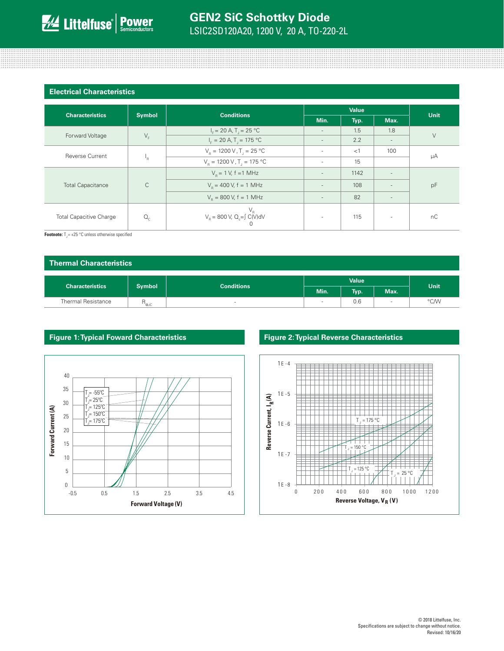| <b>Electrical Characteristics</b> |               |                                                           |                          |      |                          |        |  |
|-----------------------------------|---------------|-----------------------------------------------------------|--------------------------|------|--------------------------|--------|--|
| <b>Characteristics</b>            | <b>Symbol</b> | <b>Conditions</b>                                         | <b>Value</b>             |      |                          |        |  |
|                                   |               |                                                           | Min.                     | Typ. | Max.                     | Unit   |  |
|                                   | $V_F$         | $I_c = 20 A$ , T <sub>1</sub> = 25 °C                     | $\sim$                   | 1.5  | 1.8                      | $\vee$ |  |
| Forward Voltage                   |               | $I_{\rm r}$ = 20 A, T <sub>1</sub> = 175 °C               | $\sim$                   | 2.2  | $\overline{\phantom{a}}$ |        |  |
| <b>Reverse Current</b>            | 'R            | $V_{\rm B} = 1200 \,\rm V$ , T <sub>1</sub> = 25 °C       | $\sim$                   | <1   | 100                      | μA     |  |
|                                   |               | $V_R = 1200 V, T_J = 175 °C$                              | $\sim$                   | 15   |                          |        |  |
| <b>Total Capacitance</b>          | $\mathsf{C}$  | $V_p = 1 V$ , f = 1 MHz                                   | $\sim$                   | 1142 |                          | pF     |  |
|                                   |               | $V_p = 400 V$ , f = 1 MHz                                 | $\sim$                   | 108  |                          |        |  |
|                                   |               | $V_{\rm p} = 800$ V, f = 1 MHz                            | $\overline{\phantom{a}}$ | 82   | $\overline{\phantom{a}}$ |        |  |
| <b>Total Capacitive Charge</b>    | $Q_{\rm c}$   | $V_R$<br>V <sub>R</sub> = 800 V, Q <sub>c</sub> =∫ C(V)dV | $\sim$                   | 115  | $\overline{\phantom{a}}$ | nC     |  |

and the contract of the contract of the contract of the contract of the contract of the contract of the contract of

**Footnote:**  $T_1 = +25 \degree C$  unless otherwise specified

| <b>Thermal Characteristics</b> |                  |                                    |        |      |             |      |  |  |
|--------------------------------|------------------|------------------------------------|--------|------|-------------|------|--|--|
|                                |                  | <b>Value</b>                       |        |      | <b>Unit</b> |      |  |  |
| <b>Characteristics</b>         |                  | <b>Symbol</b><br><b>Conditions</b> | Min.   | Typ. | Max.        |      |  |  |
| <b>Thermal Resistance</b>      | H <sub>eJC</sub> | $\sim$                             | $\sim$ | 0.6  | <b>STEP</b> | °C/W |  |  |



### **Figure 1: Typical Foward Characteristics Figure 2: Typical Reverse Characteristics**

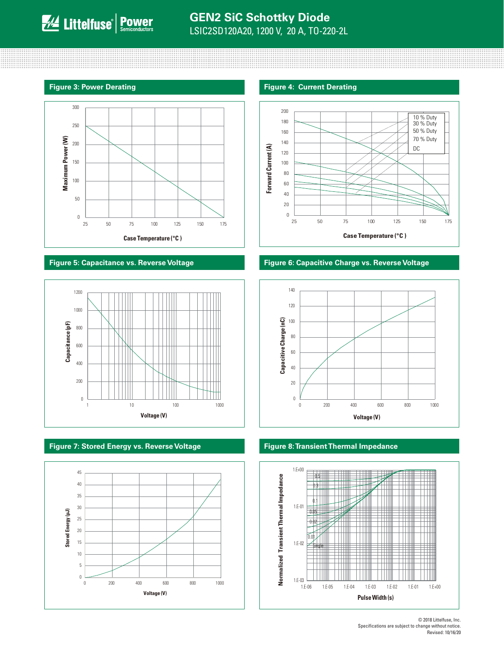



**Figure 7: Stored Energy vs. Reverse Voltage Figure 8: Transient Thermal Impedance**



### **Figure 3: Power Derating Figure 4: Current Derating Figure 4: Current Derating**



### **Figure 5: Capacitance vs. Reverse Voltage Figure 6: Capacitive Charge vs. Reverse Voltage**





© 2018 Littelfuse, Inc. Specifications are subject to change without notice. Revised: 10/16/20